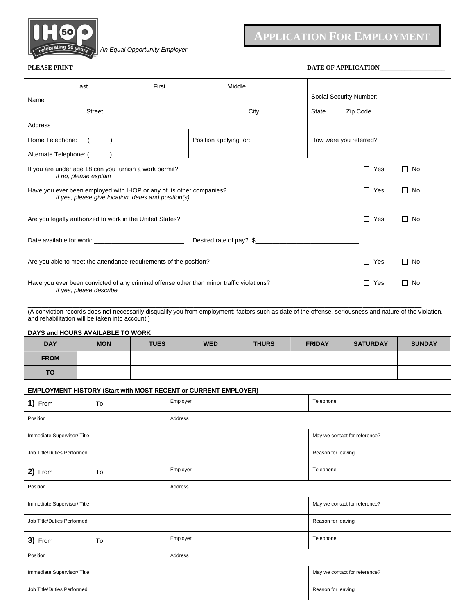

 *. An Equal Opportunity Employer*

# **APPLICATION FOR EMPLOYMENT**

**PLEASE PRINT DATE OF APPLICATION\_** 

| Last                                                                                                                                                                                                                                                                                                                       | First | Middle |      |                         |                     |           |           |
|----------------------------------------------------------------------------------------------------------------------------------------------------------------------------------------------------------------------------------------------------------------------------------------------------------------------------|-------|--------|------|-------------------------|---------------------|-----------|-----------|
| Name                                                                                                                                                                                                                                                                                                                       |       |        |      | Social Security Number: |                     |           |           |
| <b>Street</b>                                                                                                                                                                                                                                                                                                              |       |        | City | <b>State</b>            | Zip Code            |           |           |
| Address                                                                                                                                                                                                                                                                                                                    |       |        |      |                         |                     |           |           |
| Home Telephone: (<br>Position applying for:<br>How were you referred?                                                                                                                                                                                                                                                      |       |        |      |                         |                     |           |           |
| Alternate Telephone: ()                                                                                                                                                                                                                                                                                                    |       |        |      |                         |                     |           |           |
| If you are under age 18 can you furnish a work permit?<br>If no, please explain example and the state of the state of the state of the state of the state of the state of the state of the state of the state of the state of the state of the state of the state of the state of the st                                   |       |        |      |                         |                     | Yes<br>П  | $\Box$ No |
| Have you ever been employed with IHOP or any of its other companies?<br>If yes, please give location, dates and position(s) example and the state of the state of the state of the state of the state of the state of the state of the state of the state of the state of the state of the state of th                     |       |        |      |                         | Yes<br>$\mathsf{L}$ | $\Box$ No |           |
|                                                                                                                                                                                                                                                                                                                            |       |        |      |                         | Yes<br>$\mathsf{L}$ | $\Box$ No |           |
|                                                                                                                                                                                                                                                                                                                            |       |        |      |                         |                     |           |           |
| Are you able to meet the attendance requirements of the position?                                                                                                                                                                                                                                                          |       |        |      |                         | Yes<br>$\mathsf{L}$ | $\Box$ No |           |
| Have you ever been convicted of any criminal offense other than minor traffic violations?<br>If yes, please describe example and the state of the state of the state of the state of the state of the state of the state of the state of the state of the state of the state of the state of the state of the state of the |       |        |      |                         | Yes                 | $\Box$ No |           |

(A conviction records does not necessarily disqualify you from employment; factors such as date of the offense, seriousness and nature of the violation, and rehabilitation will be taken into account.)

\_\_\_\_\_\_\_\_\_\_\_\_\_\_\_\_\_\_\_\_\_\_\_\_\_\_\_\_\_\_\_\_\_\_\_\_\_\_\_\_\_\_\_\_\_\_\_\_\_\_\_\_\_\_\_\_\_\_\_\_\_\_\_\_\_\_\_\_\_\_\_\_\_\_\_\_\_\_\_\_\_\_\_\_\_\_\_\_\_\_\_\_\_\_\_\_\_ \_\_\_\_\_\_\_\_\_\_\_\_\_\_\_\_\_

**DAYS and HOURS AVAILABLE TO WORK** 

| <b>DAY</b>  | <b>MON</b> | <b>TUES</b> | <b>WED</b> | <b>THURS</b> | <b>FRIDAY</b> | <b>SATURDAY</b> | <b>SUNDAY</b> |
|-------------|------------|-------------|------------|--------------|---------------|-----------------|---------------|
| <b>FROM</b> |            |             |            |              |               |                 |               |
| <b>TO</b>   |            |             |            |              |               |                 |               |

### **EMPLOYMENT HISTORY (Start with MOST RECENT or CURRENT EMPLOYER)**

| 1) From                    | To | Employer | Telephone                     |  |
|----------------------------|----|----------|-------------------------------|--|
| Position                   |    | Address  |                               |  |
| Immediate Supervisor/Title |    |          | May we contact for reference? |  |
| Job Title/Duties Performed |    |          | Reason for leaving            |  |
| 2) From                    | To | Employer | Telephone                     |  |
| Position                   |    | Address  |                               |  |
| Immediate Supervisor/Title |    |          | May we contact for reference? |  |
| Job Title/Duties Performed |    |          | Reason for leaving            |  |
| 3) From                    | To | Employer | Telephone                     |  |
| Position                   |    | Address  |                               |  |
| Immediate Supervisor/Title |    |          | May we contact for reference? |  |
| Job Title/Duties Performed |    |          | Reason for leaving            |  |